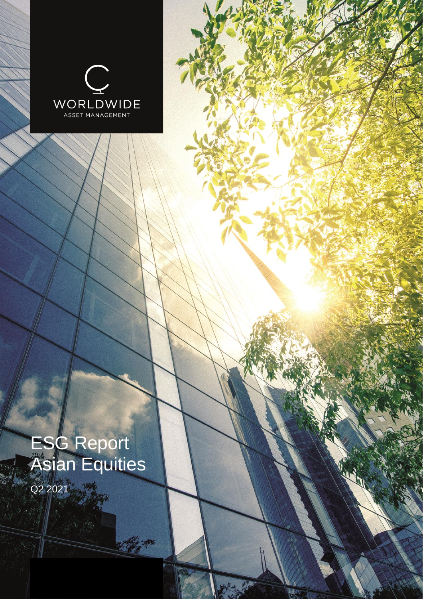

# ESG Report Asian Equities

C. C.

Q2 2021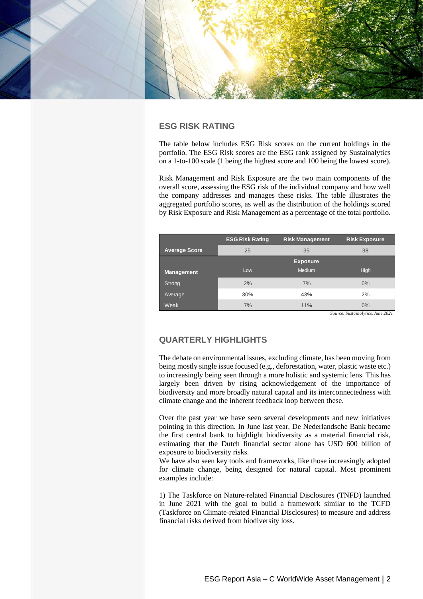

# **ESG RISK RATING**

The table below includes ESG Risk scores on the current holdings in the portfolio. The ESG Risk scores are the ESG rank assigned by Sustainalytics on a 1-to-100 scale (1 being the highest score and 100 being the lowest score).

Risk Management and Risk Exposure are the two main components of the overall score, assessing the ESG risk of the individual company and how well the company addresses and manages these risks. The table illustrates the aggregated portfolio scores, as well as the distribution of the holdings scored by Risk Exposure and Risk Management as a percentage of the total portfolio.

|                      | <b>ESG Risk Rating</b> | <b>Risk Management</b> | <b>Risk Exposure</b> |  |  |
|----------------------|------------------------|------------------------|----------------------|--|--|
| <b>Average Score</b> | 25                     | 35                     | 38                   |  |  |
|                      |                        | <b>Exposure</b>        |                      |  |  |
| <b>Management</b>    | Low                    | <b>Medium</b>          | <b>High</b>          |  |  |
| Strong               | 2%                     | 7%                     | 0%                   |  |  |
| Average              | 30%                    | 43%                    | 2%                   |  |  |
| Weak                 | 7%                     | 11%                    | 0%                   |  |  |

*Source: Sustainalytics, June 2021*

# **QUARTERLY HIGHLIGHTS**

The debate on environmental issues, excluding climate, has been moving from being mostly single issue focused (e.g., deforestation, water, plastic waste etc.) to increasingly being seen through a more holistic and systemic lens. This has largely been driven by rising acknowledgement of the importance of biodiversity and more broadly natural capital and its interconnectedness with climate change and the inherent feedback loop between these.

Over the past year we have seen several developments and new initiatives pointing in this direction. In June last year, De Nederlandsche Bank became the first central bank to highlight biodiversity as a material financial risk, estimating that the Dutch financial sector alone has USD 600 billion of exposure to biodiversity risks.

We have also seen key tools and frameworks, like those increasingly adopted for climate change, being designed for natural capital. Most prominent examples include:

1) The Taskforce on Nature-related Financial Disclosures (TNFD) launched in June 2021 with the goal to build a framework similar to the TCFD (Taskforce on Climate-related Financial Disclosures) to measure and address financial risks derived from biodiversity loss.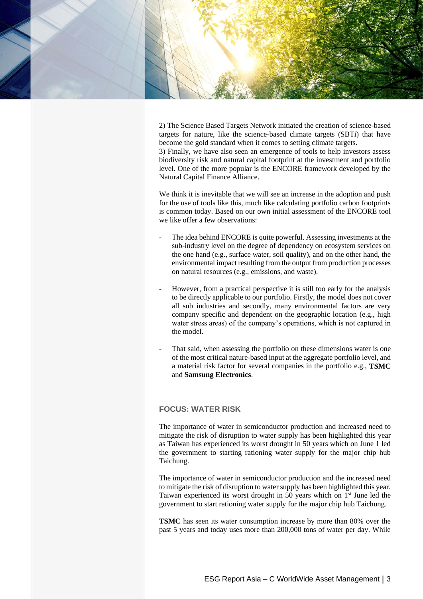

2) The Science Based Targets Network initiated the creation of science-based targets for nature, like the science-based climate targets (SBTi) that have become the gold standard when it comes to setting climate targets. 3) Finally, we have also seen an emergence of tools to help investors assess biodiversity risk and natural capital footprint at the investment and portfolio level. One of the more popular is the ENCORE framework developed by the Natural Capital Finance Alliance.

We think it is inevitable that we will see an increase in the adoption and push for the use of tools like this, much like calculating portfolio carbon footprints is common today. Based on our own initial assessment of the ENCORE tool we like offer a few observations:

- The idea behind ENCORE is quite powerful. Assessing investments at the sub-industry level on the degree of dependency on ecosystem services on the one hand (e.g., surface water, soil quality), and on the other hand, the environmental impact resulting from the output from production processes on natural resources (e.g., emissions, and waste).
- However, from a practical perspective it is still too early for the analysis to be directly applicable to our portfolio. Firstly, the model does not cover all sub industries and secondly, many environmental factors are very company specific and dependent on the geographic location (e.g., high water stress areas) of the company's operations, which is not captured in the model.
- That said, when assessing the portfolio on these dimensions water is one of the most critical nature-based input at the aggregate portfolio level, and a material risk factor for several companies in the portfolio e.g., **TSMC** and **Samsung Electronics**.

## **FOCUS: WATER RISK**

The importance of water in semiconductor production and increased need to mitigate the risk of disruption to water supply has been highlighted this year as Taiwan has experienced its worst drought in 50 years which on June 1 led the government to starting rationing water supply for the major chip hub Taichung.

The importance of water in semiconductor production and the increased need to mitigate the risk of disruption to water supply has been highlighted this year. Taiwan experienced its worst drought in 50 years which on 1<sup>st</sup> June led the government to start rationing water supply for the major chip hub Taichung.

**TSMC** has seen its water consumption increase by more than 80% over the past 5 years and today uses more than 200,000 tons of water per day. While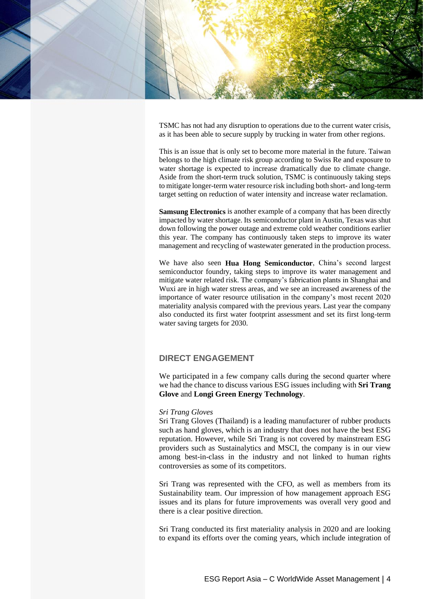

TSMC has not had any disruption to operations due to the current water crisis, as it has been able to secure supply by trucking in water from other regions.

This is an issue that is only set to become more material in the future. Taiwan belongs to the high climate risk group according to Swiss Re and exposure to water shortage is expected to increase dramatically due to climate change. Aside from the short-term truck solution, TSMC is continuously taking steps to mitigate longer-term water resource risk including both short- and long-term target setting on reduction of water intensity and increase water reclamation.

**Samsung Electronics** is another example of a company that has been directly impacted by water shortage. Its semiconductor plant in Austin, Texas was shut down following the power outage and extreme cold weather conditions earlier this year. The company has continuously taken steps to improve its water management and recycling of wastewater generated in the production process.

We have also seen **Hua Hong Semiconductor**, China's second largest semiconductor foundry, taking steps to improve its water management and mitigate water related risk. The company's fabrication plants in Shanghai and Wuxi are in high water stress areas, and we see an increased awareness of the importance of water resource utilisation in the company's most recent 2020 materiality analysis compared with the previous years. Last year the company also conducted its first water footprint assessment and set its first long-term water saving targets for 2030.

## **DIRECT ENGAGEMENT**

We participated in a few company calls during the second quarter where we had the chance to discuss various ESG issues including with **Sri Trang Glove** and **Longi Green Energy Technology**.

#### *Sri Trang Gloves*

Sri Trang Gloves (Thailand) is a leading manufacturer of rubber products such as hand gloves, which is an industry that does not have the best ESG reputation. However, while Sri Trang is not covered by mainstream ESG providers such as Sustainalytics and MSCI, the company is in our view among best-in-class in the industry and not linked to human rights controversies as some of its competitors.

Sri Trang was represented with the CFO, as well as members from its Sustainability team. Our impression of how management approach ESG issues and its plans for future improvements was overall very good and there is a clear positive direction.

Sri Trang conducted its first materiality analysis in 2020 and are looking to expand its efforts over the coming years, which include integration of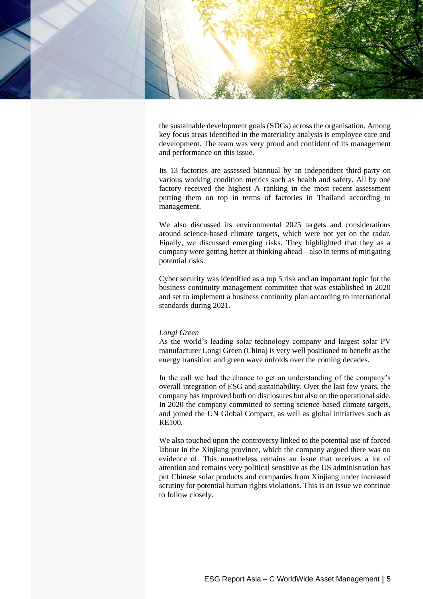

the sustainable development goals (SDGs) across the organisation. Among key focus areas identified in the materiality analysis is employee care and development. The team was very proud and confident of its management and performance on this issue.

Its 13 factories are assessed biannual by an independent third-party on various working condition metrics such as health and safety. All by one factory received the highest A ranking in the most recent assessment putting them on top in terms of factories in Thailand according to management.

We also discussed its environmental 2025 targets and considerations around science-based climate targets, which were not yet on the radar. Finally, we discussed emerging risks. They highlighted that they as a company were getting better at thinking ahead – also in terms of mitigating potential risks.

Cyber security was identified as a top 5 risk and an important topic for the business continuity management committee that was established in 2020 and set to implement a business continuity plan according to international standards during 2021.

#### *Longi Green*

As the world's leading solar technology company and largest solar PV manufacturer Longi Green (China) is very well positioned to benefit as the energy transition and green wave unfolds over the coming decades.

In the call we had the chance to get an understanding of the company's overall integration of ESG and sustainability. Over the last few years, the company has improved both on disclosures but also on the operational side. In 2020 the company committed to setting science-based climate targets, and joined the UN Global Compact, as well as global initiatives such as RE100.

We also touched upon the controversy linked to the potential use of forced labour in the Xinjiang province, which the company argued there was no evidence of. This nonetheless remains an issue that receives a lot of attention and remains very political sensitive as the US administration has put Chinese solar products and companies from Xinjiang under increased scrutiny for potential human rights violations. This is an issue we continue to follow closely.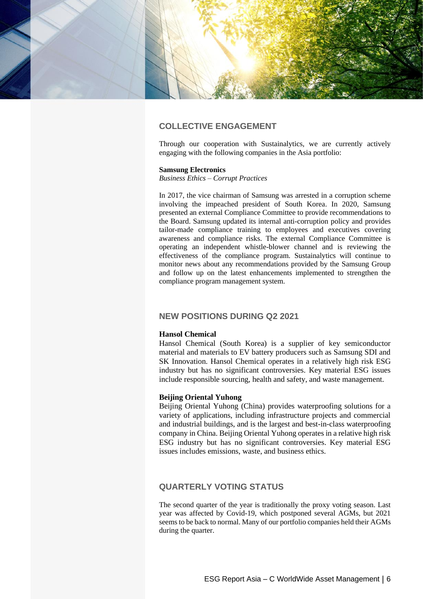

# **COLLECTIVE ENGAGEMENT**

Through our cooperation with Sustainalytics, we are currently actively engaging with the following companies in the Asia portfolio:

#### **Samsung Electronics**

*Business Ethics – Corrupt Practices*

In 2017, the vice chairman of Samsung was arrested in a corruption scheme involving the impeached president of South Korea. In 2020, Samsung presented an external Compliance Committee to provide recommendations to the Board. Samsung updated its internal anti-corruption policy and provides tailor-made compliance training to employees and executives covering awareness and compliance risks. The external Compliance Committee is operating an independent whistle-blower channel and is reviewing the effectiveness of the compliance program. Sustainalytics will continue to monitor news about any recommendations provided by the Samsung Group and follow up on the latest enhancements implemented to strengthen the compliance program management system.

## **NEW POSITIONS DURING Q2 2021**

#### **Hansol Chemical**

Hansol Chemical (South Korea) is a supplier of key semiconductor material and materials to EV battery producers such as Samsung SDI and SK Innovation. Hansol Chemical operates in a relatively high risk ESG industry but has no significant controversies. Key material ESG issues include responsible sourcing, health and safety, and waste management.

### **Beijing Oriental Yuhong**

Beijing Oriental Yuhong (China) provides waterproofing solutions for a variety of applications, including infrastructure projects and commercial and industrial buildings, and is the largest and best-in-class waterproofing company in China. Beijing Oriental Yuhong operates in a relative high risk ESG industry but has no significant controversies. Key material ESG issues includes emissions, waste, and business ethics.

## **QUARTERLY VOTING STATUS**

The second quarter of the year is traditionally the proxy voting season. Last year was affected by Covid-19, which postponed several AGMs, but 2021 seems to be back to normal. Many of our portfolio companies held their AGMs during the quarter.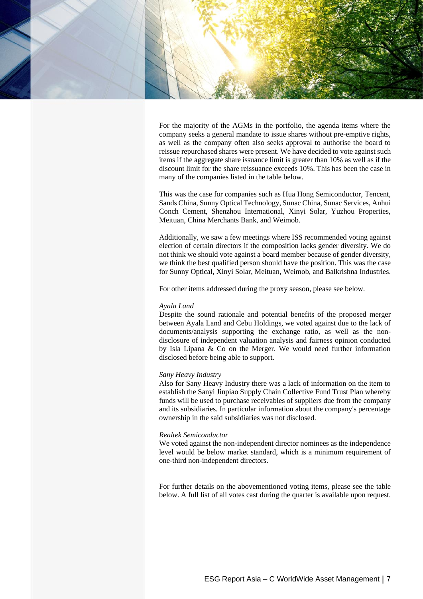

For the majority of the AGMs in the portfolio, the agenda items where the company seeks a general mandate to issue shares without pre-emptive rights, as well as the company often also seeks approval to authorise the board to reissue repurchased shares were present. We have decided to vote against such items if the aggregate share issuance limit is greater than 10% as well as if the discount limit for the share reissuance exceeds 10%. This has been the case in many of the companies listed in the table below.

This was the case for companies such as Hua Hong Semiconductor, Tencent, Sands China, Sunny Optical Technology, Sunac China, Sunac Services, Anhui Conch Cement, Shenzhou International, Xinyi Solar, Yuzhou Properties, Meituan, China Merchants Bank, and Weimob.

Additionally, we saw a few meetings where ISS recommended voting against election of certain directors if the composition lacks gender diversity. We do not think we should vote against a board member because of gender diversity, we think the best qualified person should have the position. This was the case for Sunny Optical, Xinyi Solar, Meituan, Weimob, and Balkrishna Industries.

For other items addressed during the proxy season, please see below.

#### *Ayala Land*

Despite the sound rationale and potential benefits of the proposed merger between Ayala Land and Cebu Holdings, we voted against due to the lack of documents/analysis supporting the exchange ratio, as well as the nondisclosure of independent valuation analysis and fairness opinion conducted by Isla Lipana & Co on the Merger. We would need further information disclosed before being able to support.

#### *Sany Heavy Industry*

Also for Sany Heavy Industry there was a lack of information on the item to establish the Sanyi Jinpiao Supply Chain Collective Fund Trust Plan whereby funds will be used to purchase receivables of suppliers due from the company and its subsidiaries. In particular information about the company's percentage ownership in the said subsidiaries was not disclosed.

#### *Realtek Semiconductor*

We voted against the non-independent director nominees as the independence level would be below market standard, which is a minimum requirement of one-third non-independent directors.

For further details on the abovementioned voting items, please see the table below. A full list of all votes cast during the quarter is available upon request.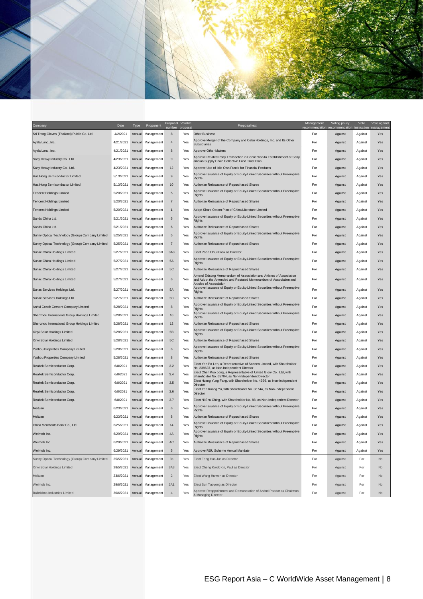

| Company                                          | Date      | Type   | Proponent         | Proposal<br>number | Votable<br>proposa | Proposal text                                                                                                                            | Management<br>recommendation | Voting policy<br>recommendation | Vote<br>instruction | Vote against<br>managemen |
|--------------------------------------------------|-----------|--------|-------------------|--------------------|--------------------|------------------------------------------------------------------------------------------------------------------------------------------|------------------------------|---------------------------------|---------------------|---------------------------|
| Sri Trang Gloves (Thailand) Public Co. Ltd.      | 4/2/2021  | Annual | Management        | 8                  | Yes                | <b>Other Business</b>                                                                                                                    | For                          | Against                         | Against             | Yes                       |
| Ayala Land, Inc.                                 | 4/21/2021 | Annual | Management        | $\overline{4}$     | Yes                | Approve Merger of the Company and Cebu Holdings, Inc. and Its Other<br><b>Subsidiaries</b>                                               | For                          | Against                         | Against             | Yes                       |
| Ayala Land, Inc.                                 | 4/21/2021 | Annual | Management        | 8                  | Yes                | <b>Approve Other Matters</b>                                                                                                             | For                          | Against                         | Against             | Yes                       |
| Sany Heavy Industry Co., Ltd.                    | 4/23/2021 | Annual | Management        | $9\,$              | Yes                | Approve Related Party Transaction in Connection to Establishment of Sanyi<br>Jinpiao Supply Chain Collective Fund Trust Plan             | For                          | Against                         | Against             | Yes                       |
| Sany Heavy Industry Co., Ltd.                    | 4/23/2021 | Annual | Management        | 12                 | Yes                | Approve Use of Idle Own Funds for Financial Products                                                                                     | For                          | Against                         | Against             | Yes                       |
| Hua Hong Semiconductor Limited                   | 5/13/2021 | Annual | Management        | 9                  | Yes                | Approve Issuance of Equity or Equity-Linked Securities without Preemptive<br>Rights                                                      | For                          | Against                         | Against             | Yes                       |
| Hua Hong Semiconductor Limited                   | 5/13/2021 | Annual | Management        | 10                 | Yes                | Authorize Reissuance of Repurchased Shares                                                                                               | For                          | Against                         | Against             | Yes                       |
| <b>Tencent Holdings Limited</b>                  | 5/20/2021 | Annual | Management        | $\sqrt{5}$         | Yes                | Approve Issuance of Equity or Equity-Linked Securities without Preemptive<br>Rights                                                      | For                          | Against                         | Against             | Yes                       |
| <b>Tencent Holdings Limited</b>                  | 5/20/2021 | Annual | Management        | $\overline{7}$     | Yes                | Authorize Reissuance of Repurchased Shares                                                                                               | For                          | Against                         | Against             | Yes                       |
| <b>Tencent Holdings Limited</b>                  | 5/20/2021 | Annual | Management        | $\mathbf{1}$       | Yes                | Adopt Share Option Plan of China Literature Limited                                                                                      | For                          | Against                         | Against             | Yes                       |
| Sands China Ltd.                                 | 5/21/2021 | Annual | Management        | $\sqrt{5}$         | Yes                | Approve Issuance of Equity or Equity-Linked Securities without Preemptive<br><b>Rights</b>                                               | For                          | Against                         | Against             | Yes                       |
| Sands China Ltd.                                 | 5/21/2021 | Annual | Management        | 6                  | Yes                | Authorize Reissuance of Repurchased Shares                                                                                               | For                          | Against                         | Against             | Yes                       |
| Sunny Optical Technology (Group) Company Limited | 5/25/2021 |        | Annual Management | 5                  | Yes                | Approve Issuance of Equity or Equity-Linked Securities without Preemptive<br>Rights                                                      | For                          | Against                         | Against             | Yes                       |
| Sunny Optical Technology (Group) Company Limited | 5/25/2021 |        | Annual Management | $\overline{7}$     | Yes                | Authorize Reissuance of Repurchased Shares                                                                                               | For                          | Against                         | Against             | Yes                       |
| Sunac China Holdings Limited                     | 5/27/2021 |        | Annual Management | 3A3                | Yes                | Elect Poon Chiu Kwok as Director                                                                                                         | For                          | Against                         | Against             | Yes                       |
| Sunac China Holdings Limited                     | 5/27/2021 |        | Annual Management | 5A                 | Yes                | Approve Issuance of Equity or Equity-Linked Securities without Preemptive<br>Rights                                                      | For                          | Against                         | Against             | Yes                       |
| Sunac China Holdings Limited                     | 5/27/2021 |        | Annual Management | 5C                 | Yes                | Authorize Reissuance of Repurchased Shares                                                                                               | For                          | Against                         | Against             | Yes                       |
| Sunac China Holdings Limited                     | 5/27/2021 | Annual | Management        | $\boldsymbol{6}$   | Yes                | Amend Existing Memorandum of Association and Articles of Association<br>and Adopt the Amended and Restated Memorandum of Association and | For                          | Against                         | Against             | Yes                       |
|                                                  |           |        |                   |                    |                    | Articles of Association<br>Approve Issuance of Equity or Equity-Linked Securities without Preemptive                                     |                              |                                 |                     |                           |
| Sunac Services Holdings Ltd.                     | 5/27/2021 | Annual | Management        | 5A                 | Yes                | Rights                                                                                                                                   | For                          | Against                         | Against             | Yes                       |
| Sunac Services Holdings Ltd.                     | 5/27/2021 | Annual | Management        | 5C                 | Yes                | Authorize Reissuance of Repurchased Shares                                                                                               | For                          | Against                         | Against             | Yes                       |
| Anhui Conch Cement Company Limited               | 5/28/2021 |        | Annual Management | 8                  | Yes                | Approve Issuance of Equity or Equity-Linked Securities without Preemptive<br>Rights                                                      | For                          | Against                         | Against             | Yes                       |
| Shenzhou International Group Holdings Limited    | 5/28/2021 | Annual | Management        | 10                 | Yes                | Approve Issuance of Equity or Equity-Linked Securities without Preemptive<br>Rights                                                      | For                          | Against                         | Against             | Yes                       |
| Shenzhou International Group Holdings Limited    | 5/28/2021 | Annual | Management        | 12                 | Yes                | Authorize Reissuance of Repurchased Shares                                                                                               | For                          | Against                         | Against             | Yes                       |
| Xinyi Solar Holdings Limited                     | 5/28/2021 | Annual | Management        | 5B                 | Yes                | Approve Issuance of Equity or Equity-Linked Securities without Preemptive<br>Rights                                                      | For                          | Against                         | Against             | Yes                       |
| Xinyi Solar Holdings Limited                     | 5/28/2021 | Annual | Management        | 5C                 | Yes                | Authorize Reissuance of Repurchased Shares                                                                                               | For                          | Against                         | Against             | Yes                       |
| Yuzhou Properties Company Limited                | 5/28/2021 | Annual | Management        | 6                  | Yes                | Approve Issuance of Equity or Equity-Linked Securities without Preemptive<br>Rights                                                      | For                          | Against                         | Against             | Yes                       |
| Yuzhou Properties Company Limited                | 5/28/2021 | Annual | Management        | 8                  | Yes                | Authorize Reissuance of Repurchased Shares                                                                                               | For                          | Against                         | Against             | Yes                       |
| Realtek Semiconductor Corp.                      | 6/8/2021  | Annual | Management        | 3.2                | Yes                | Elect Yeh Po Len, a Representative of Sonnen Limited, with Shareholder<br>No. 239637, as Non-Independent Director                        | For                          | Against                         | Against             | Yes                       |
| Realtek Semiconductor Corp.                      | 6/8/2021  | Annual | Management        | 3.4                | Yes                | Elect Chen Kuo Jong, a Representative of United Glory Co., Ltd, with<br>Shareholder No. 65704, as Non-Independent Director               | For                          | Against                         | Against             | Yes                       |
| Realtek Semiconductor Corp.                      | 6/8/2021  |        | Annual Management | 3.5                | Yes                | Elect Huang Yung Fang, with Shareholder No. 4926, as Non-Independent<br>Director                                                         | For                          | Against                         | Against             | Yes                       |
| <b>Realtek Semiconductor Corp</b>                | 6/8/2021  |        | Annual Management | 3.6                | Yes                | Elect Yen Kuang Yu, with Shareholder No. 36744, as Non-Independent<br>Director                                                           | For                          | Against                         | Against             | Yes                       |
| Realtek Semiconductor Corp.                      | 6/8/2021  | Annual | Management        | 3.7                | Yes                | Elect Ni Shu Ching, with Shareholder No. 88, as Non-Independent Director                                                                 | For                          | Against                         | Against             | Yes                       |
| Meituan                                          | 6/23/2021 |        | Annual Management | 6                  | Yes                | Approve Issuance of Equity or Equity-Linked Securities without Preemptive<br>Rights                                                      | For                          | Against                         | Against             | Yes                       |
| Meituan                                          | 6/23/2021 |        | Annual Management | 8                  | Yes                | Authorize Reissuance of Repurchased Shares                                                                                               | For                          | Against                         | Against             | Yes                       |
| China Merchants Bank Co., Ltd.                   | 6/25/2021 |        | Annual Management | 14                 | Yes                | Approve Issuance of Equity or Equity-Linked Securities without Preemptive<br>Rights                                                      | For                          | Against                         | Against             | Yes                       |
| Weimob Inc.                                      | 6/29/2021 |        | Annual Management | 4A                 | Yes                | Approve Issuance of Equity or Equity-Linked Securities without Preemptive<br>Rights                                                      | For                          | Against                         | Against             | Yes                       |
| Weimob Inc.                                      | 6/29/2021 |        | Annual Management | 4C                 | Yes                | Authorize Reissuance of Repurchased Shares                                                                                               | For                          | Against                         | Against             | Yes                       |
| Weimob Inc.                                      | 6/29/2021 |        | Annual Management | $\sqrt{5}$         | Yes                | Approve RSU Scheme Annual Mandate                                                                                                        | For                          | Against                         | Against             | Yes                       |
| Sunny Optical Technology (Group) Company Limited | 25/5/2021 |        | Annual Management | 3 <sub>b</sub>     | Yes                | Elect Feng Hua Jun as Director                                                                                                           | For                          | Against                         | For                 | No                        |
| Xinyi Solar Holdings Limited                     | 28/5/2021 |        | Annual Management | 3A3                | Yes                | Elect Cheng Kwok Kin, Paul as Director                                                                                                   | For                          | Against                         | For                 | No                        |
| Meituan                                          | 23/6/2021 |        | Annual Management | $\overline{c}$     | Yes                | Elect Wang Huiwen as Director                                                                                                            | For                          | Against                         | For                 | No                        |
| Weimob Inc.                                      | 29/6/2021 |        | Annual Management | 2A1                | Yes                | Elect Sun Taoyong as Director                                                                                                            | For                          | Against                         | For                 | No                        |
| Balkrishna Industries Limited                    | 30/6/2021 |        | Annual Management | $\sqrt{4}$         | Yes                | Approve Reappointment and Remuneration of Arvind Poddar as Chairman<br>& Managing Director                                               | For                          | Against                         | For                 | No                        |